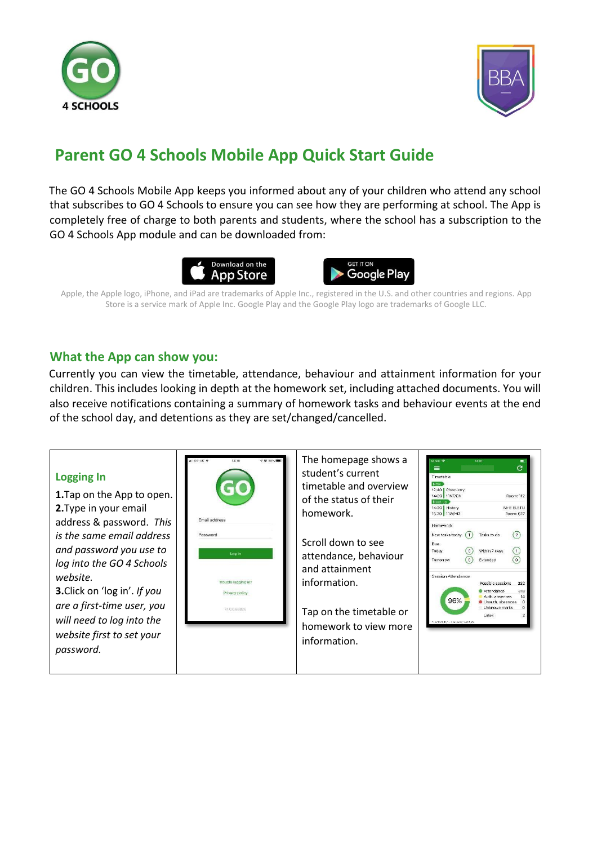



# **Parent GO 4 Schools Mobile App Quick Start Guide**

The GO 4 Schools Mobile App keeps you informed about any of your children who attend any school that subscribes to GO 4 Schools to ensure you can see how they are performing at school. The App is completely free of charge to both parents and students, where the school has a subscription to the GO 4 Schools App module and can be downloaded from:





Apple, the Apple logo, iPhone, and iPad are trademarks of Apple Inc., registered in the U.S. and other countries and regions. App Store is a service mark of Apple Inc. Google Play and the Google Play logo are trademarks of Google LLC.

## **What the App can show you:**

Currently you can view the timetable, attendance, behaviour and attainment information for your children. This includes looking in depth at the homework set, including attached documents. You will also receive notifications containing a summary of homework tasks and behaviour events at the end of the school day, and detentions as they are set/changed/cancelled.

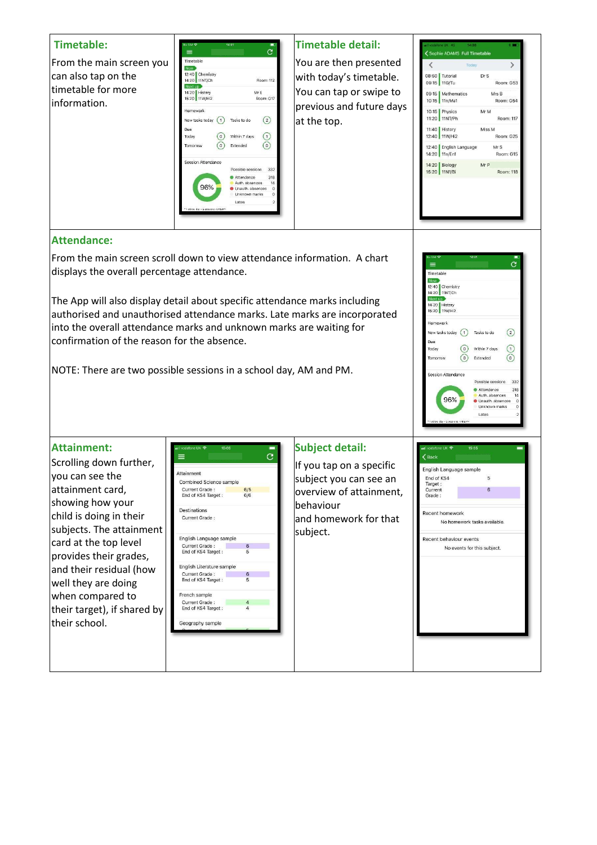## **Timetable:**

From the main screen you can also tap on the timetable for more information.

| No SIM 全                        | 14:01   |                   |            |
|---------------------------------|---------|-------------------|------------|
| ≡                               |         |                   | ٦          |
| Timetable                       |         |                   |            |
| Now                             |         |                   |            |
| 12:40 Chemistry                 |         |                   |            |
| 14:20 11NT/Ch                   |         |                   | Room: 112  |
| Next up                         |         |                   |            |
| 14:20 History                   |         | Mr E              |            |
| 15:20 11W/Hi2                   |         |                   | Room: G17  |
| Homework                        |         |                   |            |
| New tasks today (1) Tasks to do |         |                   | $\sqrt{2}$ |
| Due                             |         |                   |            |
| Today                           | $\circ$ | Within 7 days     |            |
| Tomorrow                        | $\circ$ | Extended          | o          |
| Session Attendance              |         |                   |            |
|                                 |         | Possible sessions | 332        |
|                                 |         | Attendance        | 318        |
|                                 |         | Auth, absences    | 14         |
| 96%                             |         | Unauth, absences  | $\Omega$   |
|                                 |         | Unknown marks     | $\Omega$   |
|                                 |         |                   |            |

#### **Timetable detail:**

You are then presented with today's timetable. You can tap or swipe to previous and future days at the top.

| 08:50 Tutorial                 |                                      |                     |
|--------------------------------|--------------------------------------|---------------------|
| 09:15 11G/Tu                   |                                      | Dr S<br>Room: G53   |
|                                | 09:15   Mathematics<br>10:15 11n/Ma1 | Mrs B<br>Room: G54  |
|                                | 10:15 Physics<br>11:20 11NT/Ph       | Mr M<br>Room: 117   |
| 11:40 History                  | 12:40 11W/Hi2                        | Miss M<br>Room: G25 |
| 14:20 11n/En1                  | 12:40 English Language               | Mr S<br>Room: G15   |
| 14:20 Biology<br>15:20 11N1/Bi |                                      | Mr P<br>Room: 118   |

## **Attendance:**

From the main screen scroll down to view attendance information. A chart displays the overall percentage attendance.

The App will also display detail about specific attendance marks including authorised and unauthorised attendance marks. Late marks are incorporated into the overall attendance marks and unknown marks are waiting for confirmation of the reason for the absence.

NOTE: There are two possible sessions in a school day, AM and PM.



Scrolling down further, you can see the attainment card, showing how your child is doing in their subjects. The attainment card at the top level provides their grades, and their residual (how well they are doing when compared to their target), if shared by their school.



## **Subject detail:**

If you tap on a specific subject you can see an overview of attainment, behaviour and homework for that subject.

| No SIM<br>$=$                      |          | 14:01                              |                |
|------------------------------------|----------|------------------------------------|----------------|
| Timetable                          |          |                                    |                |
| <b>Now</b><br>12:40 Chemistry      |          |                                    |                |
| 14:20 11NT/Ch<br>Next up           |          |                                    |                |
| 14:20 History<br>15:20 11W/Hi2     |          |                                    |                |
| Homework                           |          |                                    |                |
| New tasks today (1) Tasks to do    |          |                                    | $\overline{2}$ |
| Due                                |          |                                    |                |
| Today                              | $\circ$  | Within 7 days                      |                |
| Tomorrow                           | $\Omega$ | Extended                           |                |
| Session Attendance                 |          |                                    |                |
|                                    |          | Possible sessions                  | 332            |
|                                    |          | Attendance                         | 318            |
| 96%                                |          | Auth, absences<br>Unauth, absences | 14             |
|                                    |          | Unknown marks                      | $\Omega$<br>0  |
|                                    |          | Lates                              | $\overline{2}$ |
| 1 school day = 2 sessions: AM & PM |          |                                    |                |

| ull vodafone UK 중       | 15:05                        |  |
|-------------------------|------------------------------|--|
| $\zeta$ Back            |                              |  |
| English Language sample |                              |  |
| End of KS4<br>Target:   | 5                            |  |
| Current<br>Grade:       | 6                            |  |
| Recent homework         |                              |  |
|                         | No homework tasks available. |  |
| Recent behaviour events |                              |  |
|                         | No events for this subject.  |  |
|                         |                              |  |
|                         |                              |  |